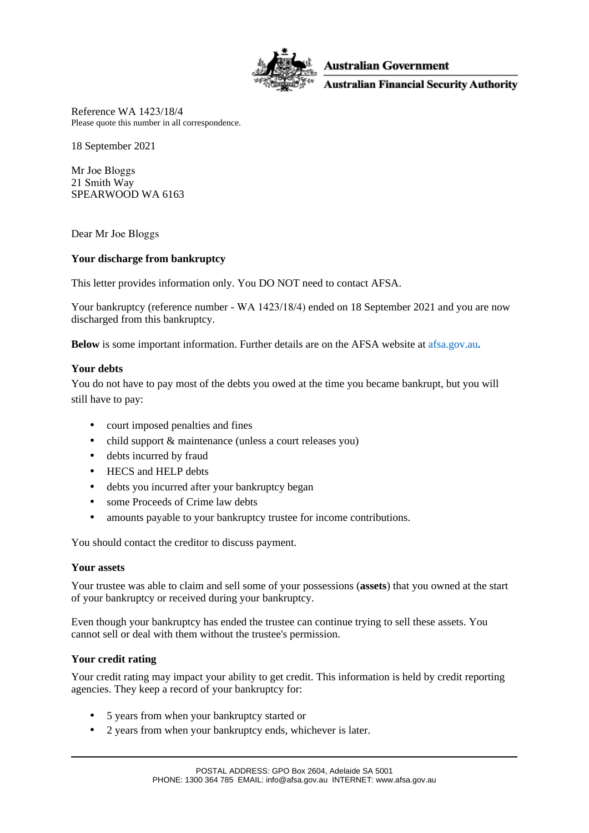

**Australian Government** 

**Australian Financial Security Authority** 

Reference WA 1423/18/4 Please quote this number in all correspondence.

18 September 2021

Mr Joe Bloggs 21 Smith Way SPEARWOOD WA 6163

Dear Mr Joe Bloggs

# **Your discharge from bankruptcy**

This letter provides information only. You DO NOT need to contact AFSA.

Your bankruptcy (reference number - WA 1423/18/4) ended on 18 September 2021 and you are now discharged from this bankruptcy.

**Below** is some important information. Further details are on the AFSA website at [afsa.gov.au](https://www.afsa.gov.au/insolvency/currently-bankrupt/what-happens-after-my-bankruptcy-ends)**.**

## **Your debts**

You do not have to pay most of the debts you owed at the time you became bankrupt, but you will still have to pay:

- court imposed penalties and fines
- child support & maintenance (unless a court releases you)
- debts incurred by fraud
- HECS and HELP debts
- debts you incurred after your bankruptcy began
- some Proceeds of Crime law debts
- amounts payable to your bankruptcy trustee for income contributions.

You should contact the creditor to discuss payment.

### **Your assets**

Your trustee was able to claim and sell some of your possessions (**assets**) that you owned at the start of your bankruptcy or received during your bankruptcy.

Even though your bankruptcy has ended the trustee can continue trying to sell these assets. You cannot sell or deal with them without the trustee's permission.

### **Your credit rating**

Your credit rating may impact your ability to get credit. This information is held by credit reporting agencies. They keep a record of your bankruptcy for:

- 5 years from when your bankruptcy started or
- 2 years from when your bankruptcy ends, whichever is later.